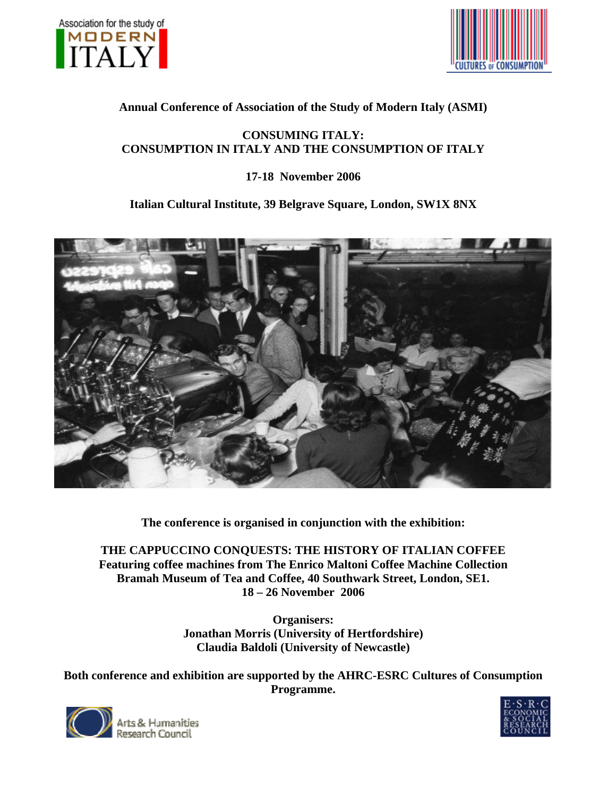



## **[Annual C](http://www.consume.bbk.ac.uk/index.htm)onference of Association of the Study of Modern Italy (ASMI)**

## **CONSUMING ITALY: CONSUMPTION IN ITALY AND THE CONSUMPTION OF ITALY**

## **17-18 November 2006**

# **Italian Cultural Institute, 39 Belgrave Square, London, SW1X 8NX**



**The conference is organised in conjunction with the exhibition:** 

**THE CAPPUCCINO CONQUESTS: THE HISTORY OF ITALIAN COFFEE Featuring coffee machines from The Enrico Maltoni Coffee Machine Collection Bramah Museum of Tea and Coffee, 40 Southwark Street, London, SE1. 18 – 26 November 2006** 

> **Claudia Baldoli (University of Newcastle) Organisers: Jonathan Morris (University of Hertfordshire)**

**Both conference** and **exhibition** are supported by the AHRC-ESRC Cultures of Consumption **Programme.** 



Research Council

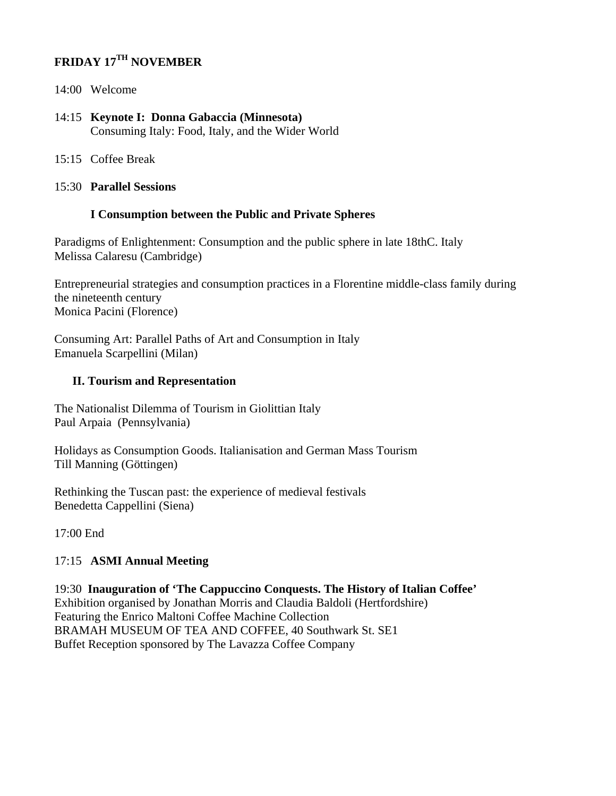# **FRIDAY 17TH NOVEMBER**

- 14:00 Welcome
- 14:15 **Keynote I: Donna Gabaccia (Minnesota)**  Consuming Italy: Food, Italy, and the Wider World
- 15:15 Coffee Break
- 15:30 **Parallel Sessions**

#### **I Consumption between the Public and Private Spheres**

Paradigms of Enlightenment: Consumption and the public sphere in late 18thC. Italy Melissa Calaresu (Cambridge)

Entrepreneurial strategies and consumption practices in a Florentine middle-class family during the nineteenth century Monica Pacini (Florence)

Consuming Art: Parallel Paths of Art and Consumption in Italy Emanuela Scarpellini (Milan)

#### **II. Tourism and Representation**

The Nationalist Dilemma of Tourism in Giolittian Italy Paul Arpaia (Pennsylvania)

Holidays as Consumption Goods. Italianisation and German Mass Tourism Till Manning (Göttingen)

Rethinking the Tuscan past: the experience of medieval festivals Benedetta Cappellini (Siena)

17:00 End

## 17:15 **ASMI Annual Meeting**

19:30 **Inauguration of 'The Cappuccino Conquests. The History of Italian Coffee'**  Exhibition organised by Jonathan Morris and Claudia Baldoli (Hertfordshire) Featuring the Enrico Maltoni Coffee Machine Collection BRAMAH MUSEUM OF TEA AND COFFEE, 40 Southwark St. SE1 Buffet Reception sponsored by The Lavazza Coffee Company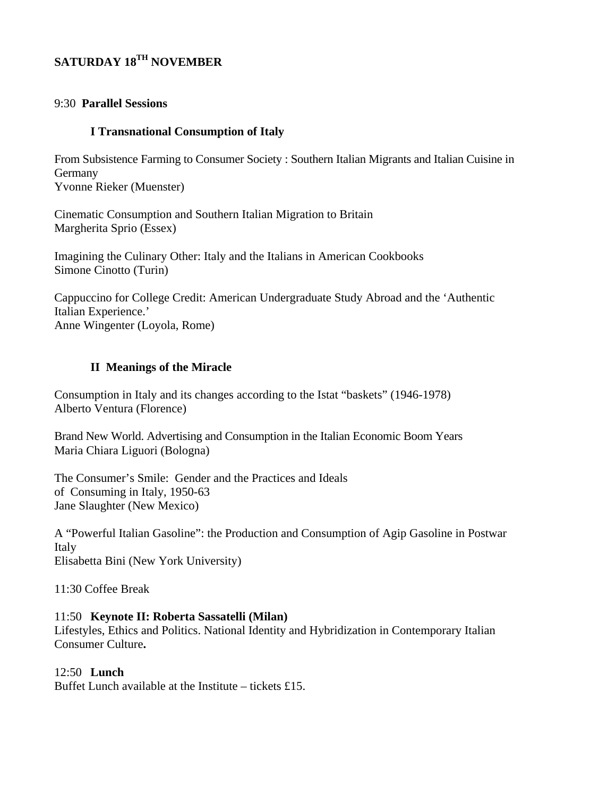# SATURDAY 18TH NOVEMBER

#### 9:30 Parallel Sessions

#### **I Transnational Consumption of Italy**

From Subsistence Farming to Consumer Society : Southern Italian Migrants and Italian Cuisine in Germany Yvonne Rieker (Muenster)

Cinematic Consumption and Southern Italian Migration to Britain Margherita Sprio (Essex)

Imagining the Culinary Other: Italy and the Italians in American Cookbooks Simone Cinotto (Turin)

Cappuccino for College Credit: American Undergraduate Study Abroad and the 'Authentic Italian Experience.' Anne Wingenter (Loyola, Rome)

#### **II** Meanings of the Miracle

Consumption in Italy and its changes according to the Istat "baskets" (1946-1978) Alberto Ventura (Florence)

Brand New World. Advertising and Consumption in the Italian Economic Boom Years Maria Chiara Liguori (Bologna)

The Consumer's Smile: Gender and the Practices and Ideals of Consuming in Italy, 1950-63 Jane Slaughter (New Mexico)

A "Powerful Italian Gasoline": the Production and Consumption of Agip Gasoline in Postwar Italy Elisabetta Bini (New York University)

11:30 Coffee Break

#### 11:50 Keynote II: Roberta Sassatelli (Milan)

Lifestyles, Ethics and Politics. National Identity and Hybridization in Contemporary Italian Consumer Culture.

## $12:50$  Lunch

Buffet Lunch available at the Institute – tickets £15.